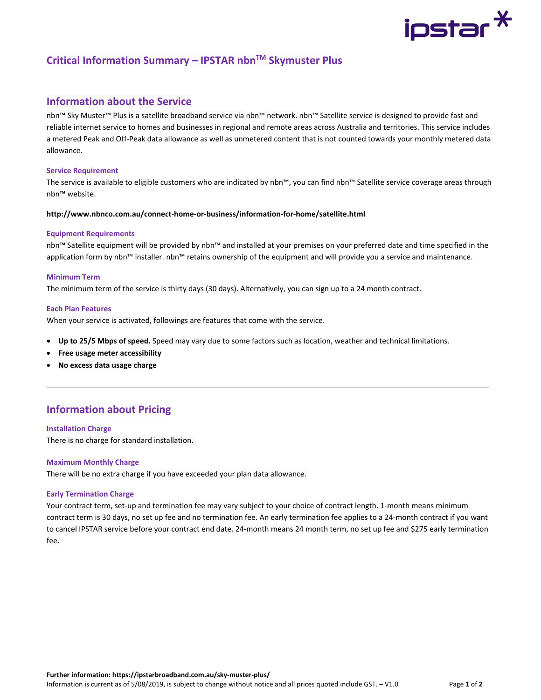# ipstar $\text{\texttt{*}}$

# **Critical Information Summary – IPSTAR nbnTM Skymuster Plus**

# **Information about the Service**

nbn™ Sky Muster™ Plus is a satellite broadband service via nbn™ network. nbn™ Satellite service is designed to provide fast and reliable internet service to homes and businesses in regional and remote areas across Australia and territories. This service includes a metered Peak and Off‐Peak data allowance as well as unmetered content that is not counted towards your monthly metered data allowance.

### **Service Requirement**

The service is available to eligible customers who are indicated by nbn™, you can find nbn™ Satellite service coverage areas through nbn™ website.

# **http://www.nbnco.com.au/connect‐home‐or‐business/information‐for‐home/satellite.html**

## **Equipment Requirements**

nbn™ Satellite equipment will be provided by nbn™ and installed at your premises on your preferred date and time specified in the application form by nbn™ installer. nbn™ retains ownership of the equipment and will provide you a service and maintenance.

## **Minimum Term**

The minimum term of the service is thirty days (30 days). Alternatively, you can sign up to a 24 month contract.

## **Each Plan Features**

When your service is activated, followings are features that come with the service.

- **Up to 25/5 Mbps of speed.** Speed may vary due to some factors such as location, weather and technical limitations.
- **Free usage meter accessibility**
- **No excess data usage charge**

# **Information about Pricing**

# **Installation Charge**

There is no charge for standard installation.

# **Maximum Monthly Charge**

There will be no extra charge if you have exceeded your plan data allowance.

# **Early Termination Charge**

Your contract term, set‐up and termination fee may vary subject to your choice of contract length. 1‐month means minimum contract term is 30 days, no set up fee and no termination fee. An early termination fee applies to a 24‐month contract if you want to cancel IPSTAR service before your contract end date. 24‐month means 24 month term, no set up fee and \$275 early termination fee.